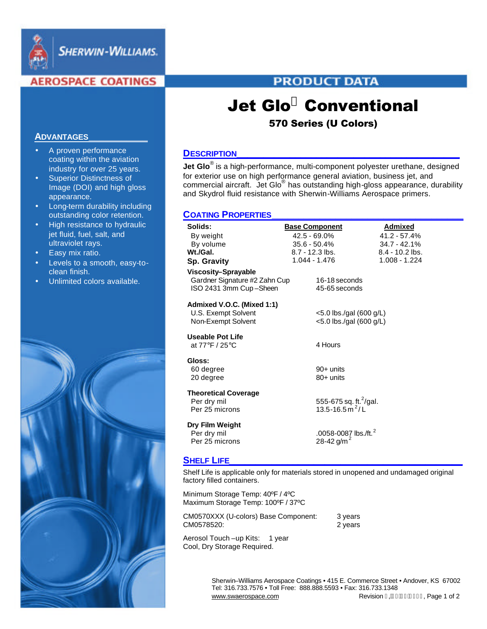

**SHERWIN-WILLIAMS.** 

# **AEROSPACE COATINGS**

# **PRODUCT DATA**

# Jet Glo**<sup>Ò</sup>** Conventional

# 570 Series (U Colors)

# **DESCRIPTION\_\_\_\_\_\_\_\_\_\_\_\_\_\_\_\_\_\_\_\_\_\_\_\_\_\_\_\_\_\_\_\_\_\_\_\_\_\_\_\_\_\_**

**Jet Glo**® is a high-performance, multi-component polyester urethane, designed for exterior use on high performance general aviation, business jet, and commercial aircraft. Jet Glo® has outstanding high-gloss appearance, durability and Skydrol fluid resistance with Sherwin-Williams Aerospace primers.

# **COATING PROPERTIES\_\_\_\_\_\_\_\_\_\_\_\_\_\_\_\_\_\_\_\_\_\_\_\_\_\_\_\_\_\_\_\_\_\_\_\_**

| Solids:<br>By weight                                                           | <b>Base Component</b><br>$42.5 - 69.0\%$                          | Admixed<br>$41.2 - 57.4%$ |
|--------------------------------------------------------------------------------|-------------------------------------------------------------------|---------------------------|
| By volume                                                                      | $35.6 - 50.4\%$                                                   | $34.7 - 42.1%$            |
| Wt/Gal.                                                                        | $8.7 - 12.3$ lbs.                                                 | $8.4 - 10.2$ lbs.         |
| <b>Sp. Gravity</b>                                                             | 1.044 - 1.476                                                     | $1.008 - 1.224$           |
| Viscosity-Sprayable<br>Gardner Signature #2 Zahn Cup<br>ISO 2431 3mm Cup-Sheen | 16-18 seconds<br>45-65 seconds                                    |                           |
| Admixed V.O.C. (Mixed 1:1)<br>U.S. Exempt Solvent<br>Non-Exempt Solvent        | <5.0 lbs./gal (600 g/L)<br>$<$ 5.0 lbs./gal (600 g/L)             |                           |
| <b>Useable Pot Life</b><br>at 77°F / 25°C                                      | 4 Hours                                                           |                           |
| Gloss:<br>60 degree<br>20 degree                                               | 90+ units<br>80+ units                                            |                           |
| <b>Theoretical Coverage</b><br>Per dry mil<br>Per 25 microns                   | 555-675 sq. ft. <sup>2</sup> /gal.<br>13.5-16.5 m <sup>2</sup> /L |                           |
| Dry Film Weight<br>Per dry mil<br>Per 25 microns                               | .0058-0087 lbs./ft. <sup>2</sup><br>28-42 g/m <sup>2</sup>        |                           |

# **SHELF LIFE\_\_\_\_\_\_\_\_\_\_\_\_\_\_\_\_\_\_\_\_\_\_\_\_\_\_\_\_\_\_\_\_\_\_\_\_\_\_\_\_\_\_\_\_**

Shelf Life is applicable only for materials stored in unopened and undamaged original factory filled containers.

Minimum Storage Temp: 40ºF / 4ºC Maximum Storage Temp: 100ºF / 37ºC

| CM0570XXX (U-colors) Base Component: | 3 years |
|--------------------------------------|---------|
| CM0578520:                           | 2 years |

Aerosol Touch-up Kits: 1 year Cool, Dry Storage Required.

> Sherwin–Williams Aerospace Coatings • 415 E. Commerce Street • Andover, KS 67002 Tel: 316.733.7576 • Toll Free: 888.888.5593 • Fax: 316.733.1348 www.swaerospace.com Revision i , Fett JED Page 1 of 2

## **ADVANTAGES\_\_\_\_\_\_\_\_\_\_\_**

- A proven performance coating within the aviation industry for over 25 years.
- Superior Distinctness of Image (DOI) and high gloss appearance.
- Long-term durability including outstanding color retention.
- High resistance to hydraulic jet fluid, fuel, salt, and ultraviolet rays.
- Easy mix ratio.
- Levels to a smooth, easy-toclean finish.
- Unlimited colors available.

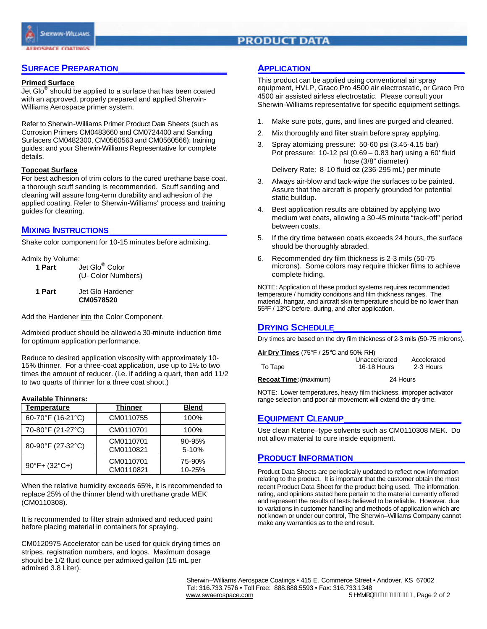

# **PRODUCT DATA**

# **SURFACE PREPARATION\_\_\_\_\_\_\_\_\_\_\_\_\_\_\_\_\_\_\_**

#### **Primed Surface**

Jet Glo $^{\circ}$  should be applied to a surface that has been coated with an approved, properly prepared and applied Sherwin-Williams Aerospace primer system.

Refer to Sherwin-Williams Primer Product Data Sheets (such as Corrosion Primers CM0483660 and CM0724400 and Sanding Surfacers CM0482300, CM0560563 and CM0560566); training guides; and your Sherwin-Williams Representative for complete details.

#### **Topcoat Surface**

For best adhesion of trim colors to the cured urethane base coat, a thorough scuff sanding is recommended. Scuff sanding and cleaning will assure long-term durability and adhesion of the applied coating. Refer to Sherwin-Williams' process and training guides for cleaning.

### **MIXING INSTRUCTIONS\_\_\_\_\_\_\_\_\_\_\_\_\_\_\_\_\_\_\_\_\_\_**

Shake color component for 10-15 minutes before admixing.

Admix by Volume:

| 1 Part | Jet Glo <sup>®</sup> Color |  |  |
|--------|----------------------------|--|--|
|        | (U- Color Numbers)         |  |  |

**1 Part** Jet Glo Hardener **CM0578520**

Add the Hardener into the Color Component.

Admixed product should be allowed a 30-minute induction time for optimum application performance.

Reduce to desired application viscosity with approximately 10- 15% thinner. For a three-coat application, use up to 1½ to two times the amount of reducer. (i.e. if adding a quart, then add 11/2 to two quarts of thinner for a three coat shoot.)

#### **Available Thinners:**

| <b>Temperature</b>                 | Thinner                | <b>Blend</b>        |
|------------------------------------|------------------------|---------------------|
| 60-70°F (16-21°C)                  | CM0110755              | 100%                |
| 70-80°F (21-27°C)                  | CM0110701              | 100%                |
| 80-90°F (27-32°C)                  | CM0110701<br>CM0110821 | $90 - 95%$<br>5-10% |
| $90^{\circ}$ F+ (32 $^{\circ}$ C+) | CM0110701<br>CM0110821 | 75-90%<br>10-25%    |

When the relative humidity exceeds 65%, it is recommended to replace 25% of the thinner blend with urethane grade MEK (CM0110308).

It is recommended to filter strain admixed and reduced paint before placing material in containers for spraying.

CM0120975 Accelerator can be used for quick drying times on stripes, registration numbers, and logos. Maximum dosage should be 1/2 fluid ounce per admixed gallon (15 mL per admixed 3.8 Liter).

# **APPLICATION\_\_\_\_\_\_\_\_\_\_\_\_\_\_\_\_\_\_\_\_\_\_\_\_\_\_\_\_\_**

This product can be applied using conventional air spray equipment, HVLP, Graco Pro 4500 air electrostatic, or Graco Pro 4500 air assisted airless electrostatic. Please consult your Sherwin-Williams representative for specific equipment settings.

- 1. Make sure pots, guns, and lines are purged and cleaned.
- 2. Mix thoroughly and filter strain before spray applying.
- 3. Spray atomizing pressure: 50-60 psi (3.45-4.15 bar) Pot pressure: 10-12 psi (0.69 – 0.83 bar) using a 60' fluid hose (3/8" diameter)

Delivery Rate: 8-10 fluid oz (236-295 mL) per minute

- 3. Always air-blow and tack-wipe the surfaces to be painted. Assure that the aircraft is properly grounded for potential static buildup.
- 4. Best application results are obtained by applying two medium wet coats, allowing a 30-45 minute "tack-off" period between coats.
- 5. If the dry time between coats exceeds 24 hours, the surface should be thoroughly abraded.
- 6. Recommended dry film thickness is 2-3 mils (50-75 microns). Some colors may require thicker films to achieve complete hiding.

NOTE: Application of these product systems requires recommended temperature / humidity conditions and film thickness ranges. The material, hangar, and aircraft skin temperature should be no lower than 55ºF / 13ºC before, during, and after application.

# **DRYING SCHEDULE\_\_\_\_\_\_\_\_\_\_\_\_\_\_\_\_\_\_\_\_\_\_\_\_**

Dry times are based on the dry film thickness of 2-3 mils (50-75 microns).

| Air Dry Times (75°F / 25°C and 50% RH) |                    |             |  |  |
|----------------------------------------|--------------------|-------------|--|--|
|                                        | Unaccelerated      | Accelerated |  |  |
| To Tape                                | <b>16-18 Hours</b> | 2-3 Hours   |  |  |
| Recoat Time: (maximum)                 | 24 Hours           |             |  |  |

NOTE: Lower temperatures, heavy film thickness, improper activator range selection and poor air movement will extend the dry time.

### **EQUIPMENT CLEANUP\_\_\_\_\_\_\_\_\_\_\_\_\_\_\_\_\_\_\_\_\_\_**

Use clean Ketone–type solvents such as CM0110308 MEK. Do not allow material to cure inside equipment.

# **PRODUCT INFORMATION\_\_\_\_\_\_\_\_\_\_\_\_\_\_\_\_\_\_\_\_\_**

Product Data Sheets are periodically updated to reflect new information relating to the product. It is important that the customer obtain the most recent Product Data Sheet for the product being used. The information, rating, and opinions stated here pertain to the material currently offered and represent the results of tests believed to be reliable. However, due to variations in customer handling and methods of application which are not known or under our control, The Sherwin–Williams Company cannot make any warranties as to the end result.

 Sherwin–Williams Aerospace Coatings • 415 E. Commerce Street • Andover, KS 67002 Tel: 316.733.7576 • Toll Free: 888.888.5593 • Fax: 316.733.1348 www.swaerospace.com 5HYLVLRQ, Page 2 of 2